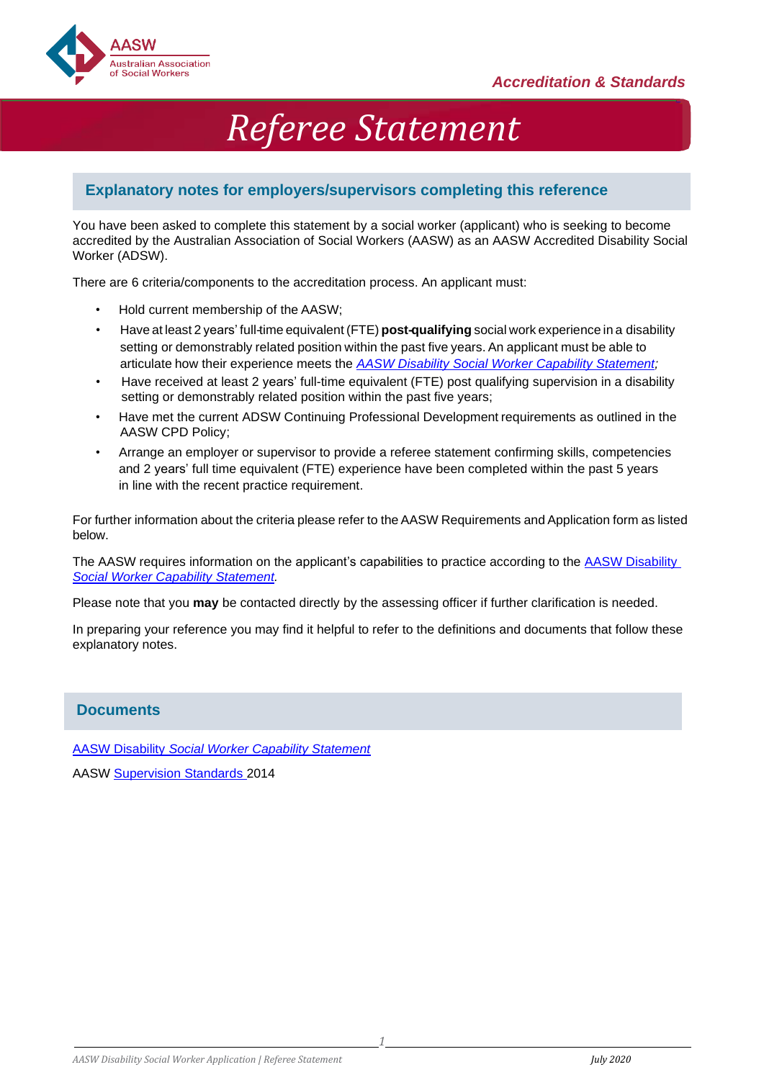

# *Referee Statement*

# **Explanatory notes for employers/supervisors completing this reference**

You have been asked to complete this statement by a social worker (applicant) who is seeking to become accredited by the Australian Association of Social Workers (AASW) as an AASW Accredited Disability Social Worker (ADSW).

There are 6 criteria/components to the accreditation process. An applicant must:

- Hold current membership of the AASW;
- Have at least 2 years' full-time equivalent (FTE) **post-qualifying** social work experience in a disability setting or demonstrably related position within the past five years. An applicant must be able to articulate how their experience meets the *AASW Disability [Social Worker Capability Statement;](https://www.aasw.asn.au/document/item/11660)*
- Have received at least 2 years' full-time equivalent (FTE) post qualifying supervision in a disability setting or demonstrably related position within the past five years;
- Have met the current ADSW Continuing Professional Development requirements as outlined in the AASW CPD Policy;
- Arrange an employer or supervisor to provide a referee statement confirming skills, competencies and 2 years' full time equivalent (FTE) experience have been completed within the past 5 years in line with the recent practice requirement.

For further information about the criteria please refer to theAASW Requirements and Application form as listed below.

The AASW requires information on the applicant's capabilities to practice according to the [AASW Disability](https://www.aasw.asn.au/document/item/11660) *[Social Worker Capability Statement.](https://www.aasw.asn.au/document/item/11660)*

Please note that you **may** be contacted directly by the assessing officer if further clarification is needed.

In preparing your reference you may find it helpful to refer to the definitions and documents that follow these explanatory notes.

## **Documents**

AASW Disability *[Social Worker Capability Statement](https://www.aasw.asn.au/document/item/11660)*

AASW [Supervision Standards 2](http://www.aasw.asn.au/document/item/6027)014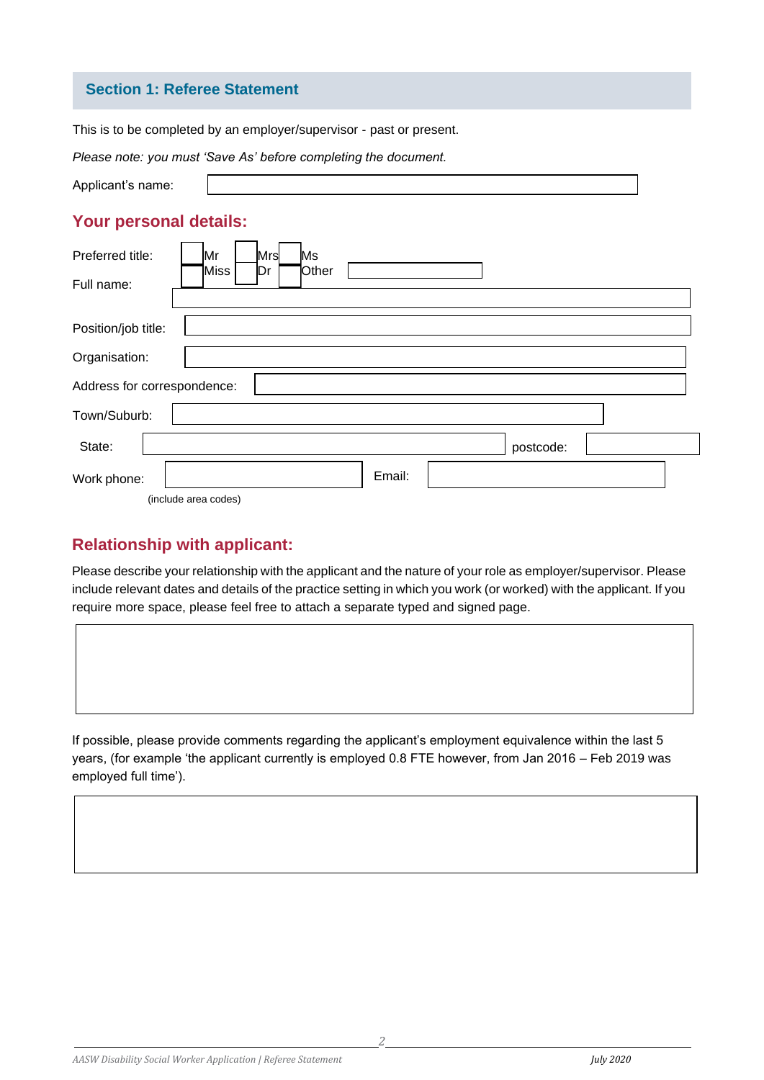## **Section 1: Referee Statement**

This is to be completed by an employer/supervisor - past or present.

| Please note, you must save As before completing the document.            |
|--------------------------------------------------------------------------|
| Applicant's name:                                                        |
| Your personal details:                                                   |
| Preferred title:<br>Mr<br>Mrs<br>Ms<br>Other<br>Miss<br>Dr<br>Full name: |
| Position/job title:                                                      |
| Organisation:                                                            |
| Address for correspondence:                                              |
| Town/Suburb:                                                             |
| State:<br>postcode:                                                      |
| Email:<br>Work phone:                                                    |
| (include area codes)                                                     |

# *Please note: you must 'Save As' before completing the document.*

# **Relationship with applicant:**

Please describe your relationship with the applicant and the nature of your role as employer/supervisor. Please include relevant dates and details of the practice setting in which you work (or worked) with the applicant. If you require more space, please feel free to attach a separate typed and signed page.

If possible, please provide comments regarding the applicant's employment equivalence within the last 5 years, (for example 'the applicant currently is employed 0.8 FTE however, from Jan 2016 – Feb 2019 was employed full time').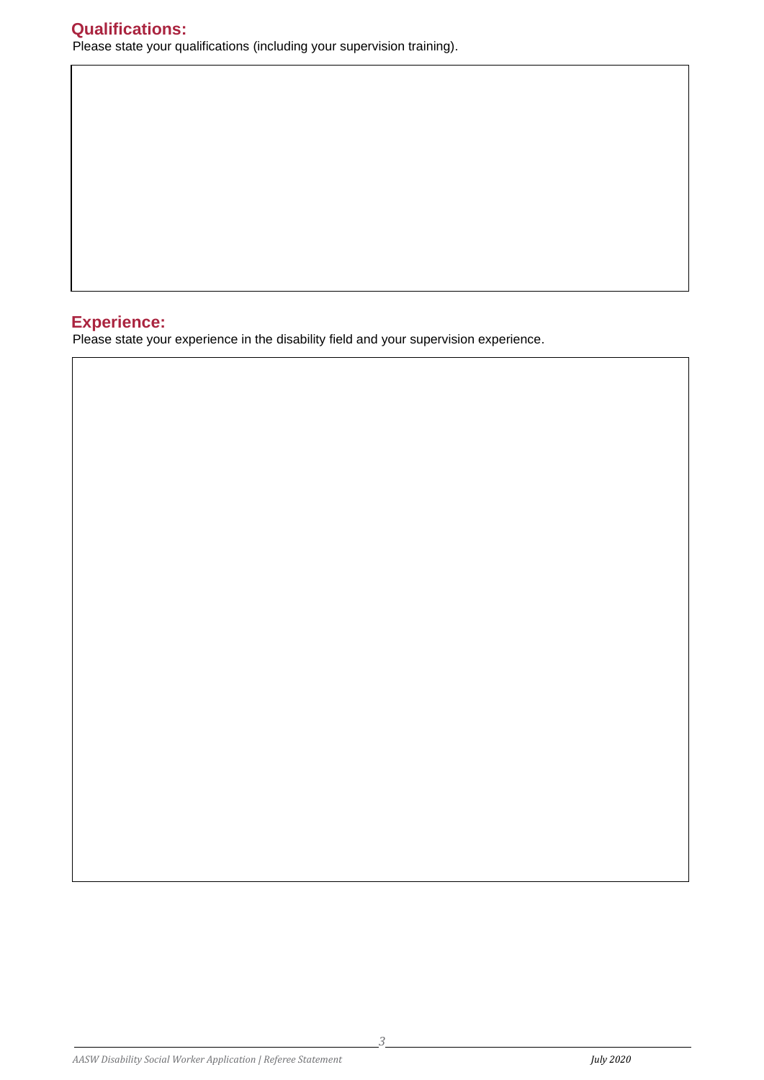# **Qualifications:** Please state your qualifications (including your supervision training).

# **Experience:**

Please state your experience in the disability field and your supervision experience.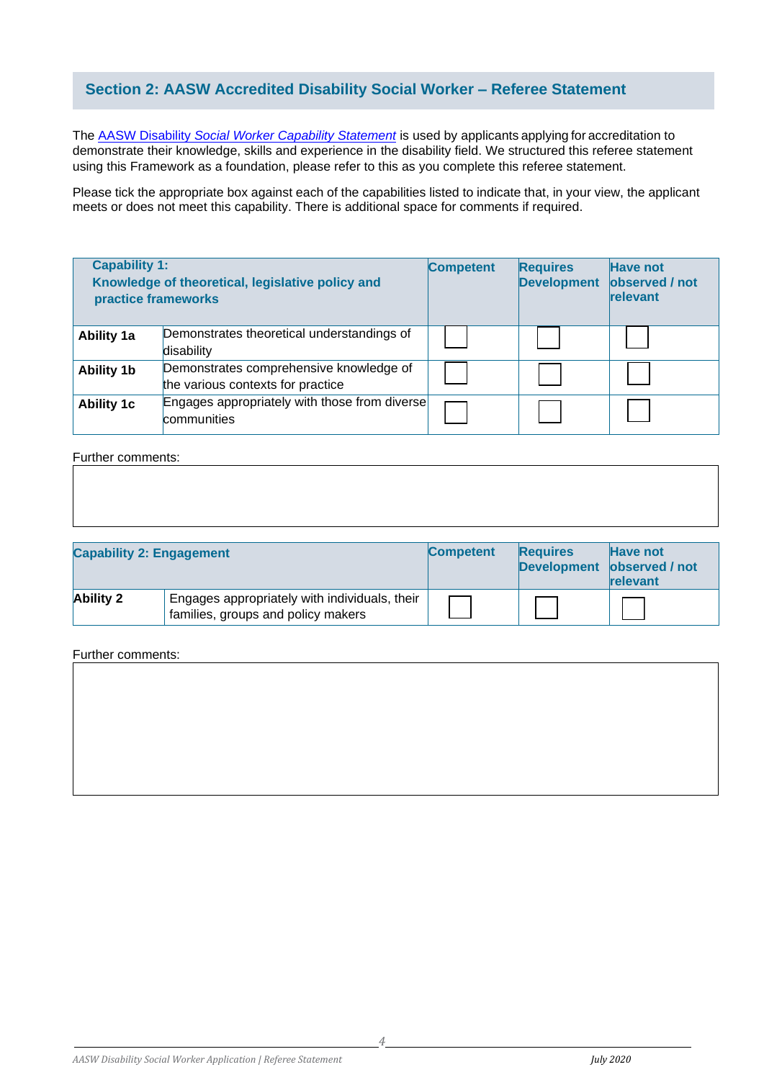# **Section 2: AASW Accredited Disability Social Worker – Referee Statement**

The AASW Disability *[Social Worker Capability Statement](https://www.aasw.asn.au/document/item/11660)* is used by applicants applying for accreditation to demonstrate their knowledge, skills and experience in the disability field. We structured this referee statement using this Framework as a foundation, please refer to this as you complete this referee statement.

Please tick the appropriate box against each of the capabilities listed to indicate that, in your view, the applicant meets or does not meet this capability. There is additional space for comments if required.

| <b>Capability 1:</b><br>practice frameworks | Knowledge of theoretical, legislative policy and                             | <b>Competent</b> | <b>Requires</b><br><b>Development</b> | <b>Have not</b><br>observed / not<br>relevant |
|---------------------------------------------|------------------------------------------------------------------------------|------------------|---------------------------------------|-----------------------------------------------|
| <b>Ability 1a</b>                           | Demonstrates theoretical understandings of<br>disability                     |                  |                                       |                                               |
| <b>Ability 1b</b>                           | Demonstrates comprehensive knowledge of<br>the various contexts for practice |                  |                                       |                                               |
| <b>Ability 1c</b>                           | Engages appropriately with those from diverse<br>communities                 |                  |                                       |                                               |

### Further comments:

| <b>Capability 2: Engagement</b> |                                                                                     | <b>Competent</b> | <b>Requires</b><br><b>Development</b> | Have not<br>observed / not<br>relevant |
|---------------------------------|-------------------------------------------------------------------------------------|------------------|---------------------------------------|----------------------------------------|
| <b>Ability 2</b>                | Engages appropriately with individuals, their<br>families, groups and policy makers |                  |                                       |                                        |

### Further comments: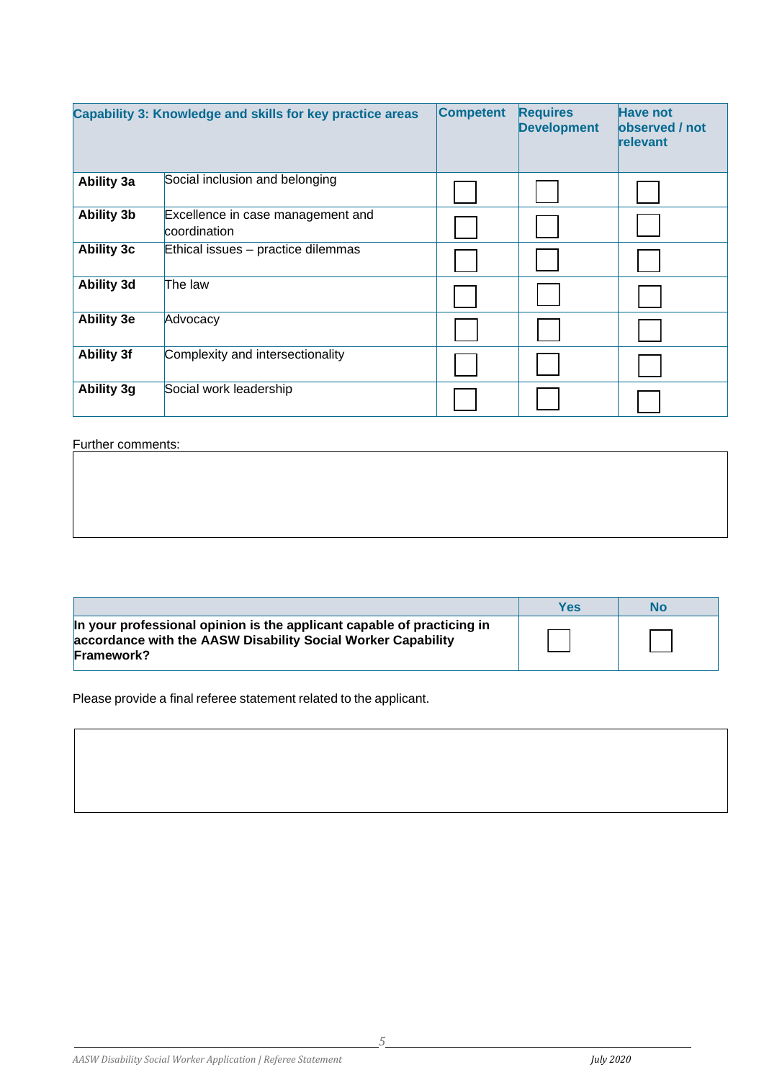|                   | Capability 3: Knowledge and skills for key practice areas | <b>Competent</b> | <b>Requires</b><br><b>Development</b> | <b>Have not</b><br>observed / not<br>relevant |
|-------------------|-----------------------------------------------------------|------------------|---------------------------------------|-----------------------------------------------|
| <b>Ability 3a</b> | Social inclusion and belonging                            |                  |                                       |                                               |
| <b>Ability 3b</b> | Excellence in case management and<br>coordination         |                  |                                       |                                               |
| <b>Ability 3c</b> | Ethical issues - practice dilemmas                        |                  |                                       |                                               |
| <b>Ability 3d</b> | The law                                                   |                  |                                       |                                               |
| <b>Ability 3e</b> | Advocacy                                                  |                  |                                       |                                               |
| <b>Ability 3f</b> | Complexity and intersectionality                          |                  |                                       |                                               |
| Ability 3g        | Social work leadership                                    |                  |                                       |                                               |

# Further comments:

|                                                                                                                                                             | Yes | No |
|-------------------------------------------------------------------------------------------------------------------------------------------------------------|-----|----|
| In your professional opinion is the applicant capable of practicing in<br>accordance with the AASW Disability Social Worker Capability<br><b>Framework?</b> |     |    |

Please provide a final referee statement related to the applicant.